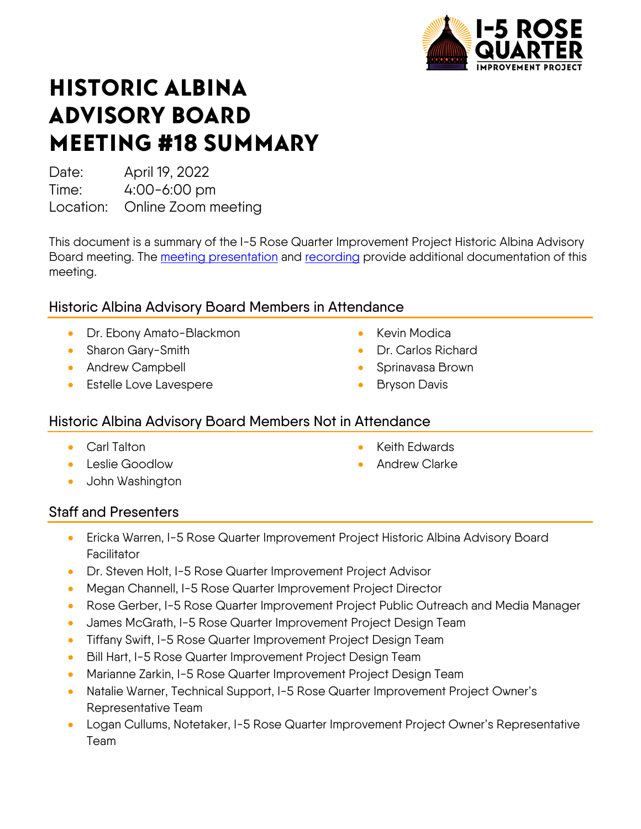

# HISTORIC ALBINA ADVISORY BOARD MEETING #18 SUMMARY

Date: April 19, 2022

Time: 4:00-6:00 pm

Location: Online Zoom meeting

This document is a summary of the I-5 Rose Quarter Improvement Project Historic Albina Advisory Board meeting. The [meeting presentation](https://i5rosequarter.org/pdfs/committee_documents/HAAB_Meeting-18-Slides_2022Apr19v1_remediated.pdf) and [recording](https://www.youtube.com/watch?v=RH_1Na1tCjQ) provide additional documentation of this meeting.

# Historic Albina Advisory Board Members in Attendance

- Dr. Ebony Amato-Blackmon
- Sharon Gary-Smith
- Andrew Campbell
- Estelle Love Lavespere
- Kevin Modica
- Dr. Carlos Richard
- Sprinavasa Brown
- **Bryson Davis**

#### Historic Albina Advisory Board Members Not in Attendance

- Carl Talton
- Leslie Goodlow
- John Washington
- Keith Edwards
- Andrew Clarke

## Staff and Presenters

- Ericka Warren, I-5 Rose Quarter Improvement Project Historic Albina Advisory Board **Facilitator**
- Dr. Steven Holt, I-5 Rose Quarter Improvement Project Advisor
- Megan Channell, I-5 Rose Quarter Improvement Project Director
- Rose Gerber, I-5 Rose Quarter Improvement Project Public Outreach and Media Manager
- James McGrath, I-5 Rose Quarter Improvement Project Design Team
- Tiffany Swift, I-5 Rose Quarter Improvement Project Design Team
- Bill Hart, I-5 Rose Quarter Improvement Project Design Team
- Marianne Zarkin, I-5 Rose Quarter Improvement Project Design Team
- Natalie Warner, Technical Support, I-5 Rose Quarter Improvement Project Owner's Representative Team
- Logan Cullums, Notetaker, I-5 Rose Quarter Improvement Project Owner's Representative Team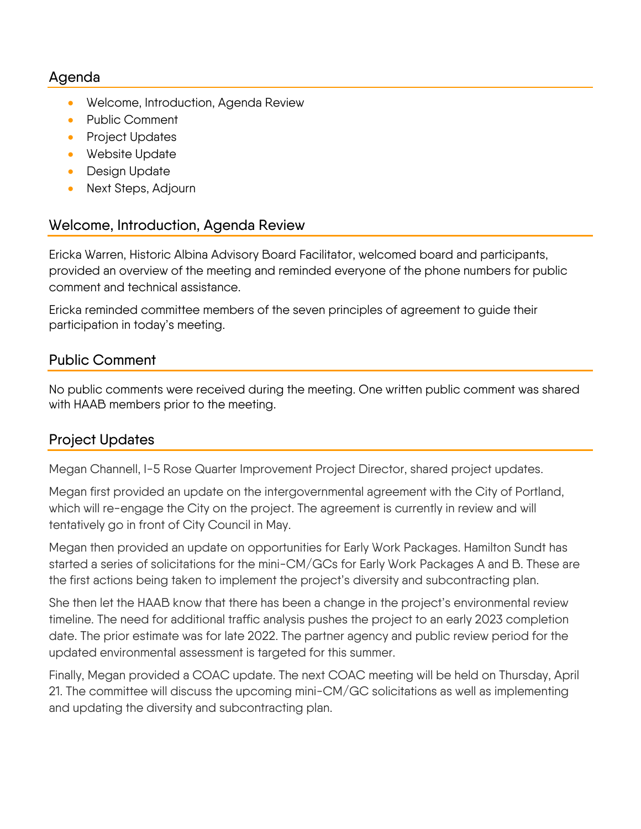#### Agenda

- Welcome, Introduction, Agenda Review
- Public Comment
- Project Updates
- Website Update
- Design Update
- Next Steps, Adjourn

#### Welcome, Introduction, Agenda Review

Ericka Warren, Historic Albina Advisory Board Facilitator, welcomed board and participants, provided an overview of the meeting and reminded everyone of the phone numbers for public comment and technical assistance.

Ericka reminded committee members of the seven principles of agreement to guide their participation in today's meeting.

## Public Comment

No public comments were received during the meeting. One written public comment was shared with HAAB members prior to the meeting.

## Project Updates

Megan Channell, I-5 Rose Quarter Improvement Project Director, shared project updates.

Megan first provided an update on the intergovernmental agreement with the City of Portland, which will re-engage the City on the project. The agreement is currently in review and will tentatively go in front of City Council in May.

Megan then provided an update on opportunities for Early Work Packages. Hamilton Sundt has started a series of solicitations for the mini-CM/GCs for Early Work Packages A and B. These are the first actions being taken to implement the project's diversity and subcontracting plan.

She then let the HAAB know that there has been a change in the project's environmental review timeline. The need for additional traffic analysis pushes the project to an early 2023 completion date. The prior estimate was for late 2022. The partner agency and public review period for the updated environmental assessment is targeted for this summer.

Finally, Megan provided a COAC update. The next COAC meeting will be held on Thursday, April 21. The committee will discuss the upcoming mini-CM/GC solicitations as well as implementing and updating the diversity and subcontracting plan.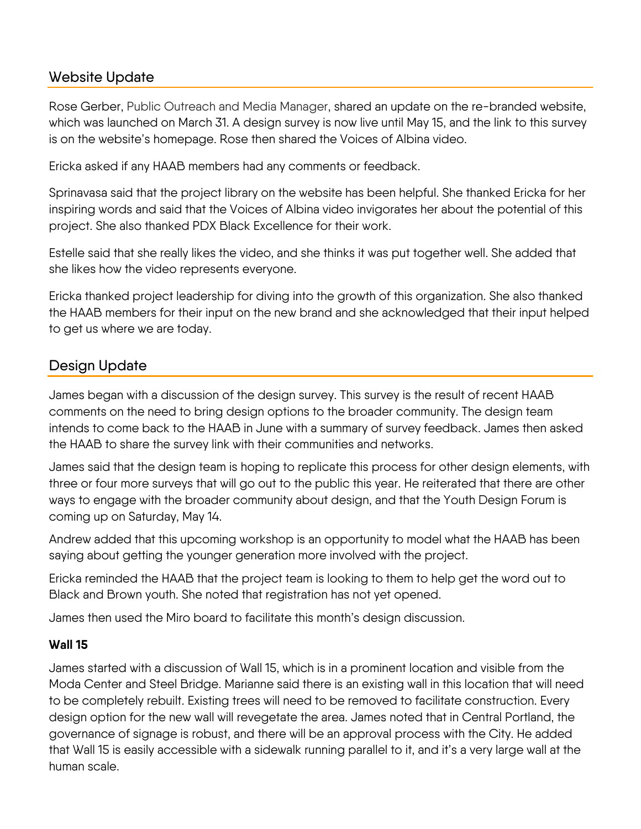# Website Update

Rose Gerber, Public Outreach and Media Manager, shared an update on the re-branded website, which was launched on March 31. A design survey is now live until May 15, and the link to this survey is on the website's homepage. Rose then shared the Voices of Albina video.

Ericka asked if any HAAB members had any comments or feedback.

Sprinavasa said that the project library on the website has been helpful. She thanked Ericka for her inspiring words and said that the Voices of Albina video invigorates her about the potential of this project. She also thanked PDX Black Excellence for their work.

Estelle said that she really likes the video, and she thinks it was put together well. She added that she likes how the video represents everyone.

Ericka thanked project leadership for diving into the growth of this organization. She also thanked the HAAB members for their input on the new brand and she acknowledged that their input helped to get us where we are today.

# Design Update

James began with a discussion of the design survey. This survey is the result of recent HAAB comments on the need to bring design options to the broader community. The design team intends to come back to the HAAB in June with a summary of survey feedback. James then asked the HAAB to share the survey link with their communities and networks.

James said that the design team is hoping to replicate this process for other design elements, with three or four more surveys that will go out to the public this year. He reiterated that there are other ways to engage with the broader community about design, and that the Youth Design Forum is coming up on Saturday, May 14.

Andrew added that this upcoming workshop is an opportunity to model what the HAAB has been saying about getting the younger generation more involved with the project.

Ericka reminded the HAAB that the project team is looking to them to help get the word out to Black and Brown youth. She noted that registration has not yet opened.

James then used the Miro board to facilitate this month's design discussion.

#### **Wall 15**

James started with a discussion of Wall 15, which is in a prominent location and visible from the Moda Center and Steel Bridge. Marianne said there is an existing wall in this location that will need to be completely rebuilt. Existing trees will need to be removed to facilitate construction. Every design option for the new wall will revegetate the area. James noted that in Central Portland, the governance of signage is robust, and there will be an approval process with the City. He added that Wall 15 is easily accessible with a sidewalk running parallel to it, and it's a very large wall at the human scale.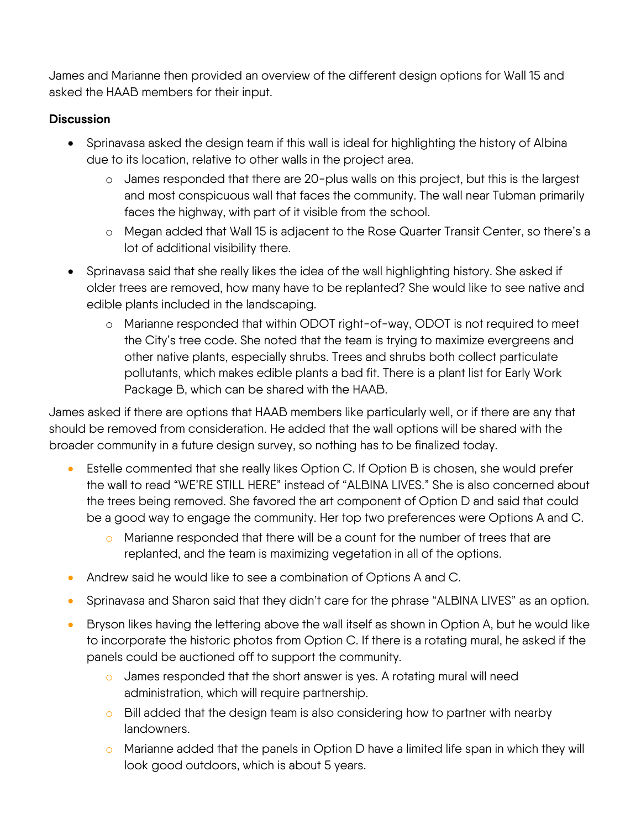James and Marianne then provided an overview of the different design options for Wall 15 and asked the HAAB members for their input.

#### **Discussion**

- Sprinavasa asked the design team if this wall is ideal for highlighting the history of Albina due to its location, relative to other walls in the project area.
	- o James responded that there are 20-plus walls on this project, but this is the largest and most conspicuous wall that faces the community. The wall near Tubman primarily faces the highway, with part of it visible from the school.
	- o Megan added that Wall 15 is adjacent to the Rose Quarter Transit Center, so there's a lot of additional visibility there.
- Sprinavasa said that she really likes the idea of the wall highlighting history. She asked if older trees are removed, how many have to be replanted? She would like to see native and edible plants included in the landscaping.
	- o Marianne responded that within ODOT right-of-way, ODOT is not required to meet the City's tree code. She noted that the team is trying to maximize evergreens and other native plants, especially shrubs. Trees and shrubs both collect particulate pollutants, which makes edible plants a bad fit. There is a plant list for Early Work Package B, which can be shared with the HAAB.

James asked if there are options that HAAB members like particularly well, or if there are any that should be removed from consideration. He added that the wall options will be shared with the broader community in a future design survey, so nothing has to be finalized today.

- Estelle commented that she really likes Option C. If Option B is chosen, she would prefer the wall to read "WE'RE STILL HERE" instead of "ALBINA LIVES." She is also concerned about the trees being removed. She favored the art component of Option D and said that could be a good way to engage the community. Her top two preferences were Options A and C.
	- o Marianne responded that there will be a count for the number of trees that are replanted, and the team is maximizing vegetation in all of the options.
- Andrew said he would like to see a combination of Options A and C.
- Sprinavasa and Sharon said that they didn't care for the phrase "ALBINA LIVES" as an option.
- Bryson likes having the lettering above the wall itself as shown in Option A, but he would like to incorporate the historic photos from Option C. If there is a rotating mural, he asked if the panels could be auctioned off to support the community.
	- o James responded that the short answer is yes. A rotating mural will need administration, which will require partnership.
	- $\circ$  Bill added that the design team is also considering how to partner with nearby landowners.
	- $\circ$  Marianne added that the panels in Option D have a limited life span in which they will look good outdoors, which is about 5 years.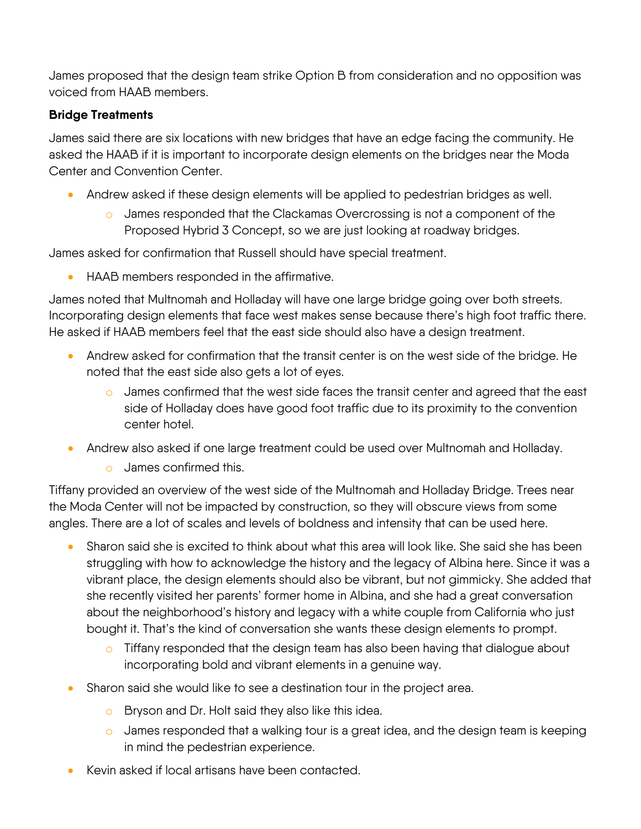James proposed that the design team strike Option B from consideration and no opposition was voiced from HAAB members.

#### **Bridge Treatments**

James said there are six locations with new bridges that have an edge facing the community. He asked the HAAB if it is important to incorporate design elements on the bridges near the Moda Center and Convention Center.

- Andrew asked if these design elements will be applied to pedestrian bridges as well.
	- o James responded that the Clackamas Overcrossing is not a component of the Proposed Hybrid 3 Concept, so we are just looking at roadway bridges.

James asked for confirmation that Russell should have special treatment.

• HAAB members responded in the affirmative.

James noted that Multnomah and Holladay will have one large bridge going over both streets. Incorporating design elements that face west makes sense because there's high foot traffic there. He asked if HAAB members feel that the east side should also have a design treatment.

- Andrew asked for confirmation that the transit center is on the west side of the bridge. He noted that the east side also gets a lot of eyes.
	- o James confirmed that the west side faces the transit center and agreed that the east side of Holladay does have good foot traffic due to its proximity to the convention center hotel.
- Andrew also asked if one large treatment could be used over Multnomah and Holladay.
	- o James confirmed this.

Tiffany provided an overview of the west side of the Multnomah and Holladay Bridge. Trees near the Moda Center will not be impacted by construction, so they will obscure views from some angles. There are a lot of scales and levels of boldness and intensity that can be used here.

- Sharon said she is excited to think about what this area will look like. She said she has been struggling with how to acknowledge the history and the legacy of Albina here. Since it was a vibrant place, the design elements should also be vibrant, but not gimmicky. She added that she recently visited her parents' former home in Albina, and she had a great conversation about the neighborhood's history and legacy with a white couple from California who just bought it. That's the kind of conversation she wants these design elements to prompt.
	- $\circ$  Tiffany responded that the design team has also been having that dialogue about incorporating bold and vibrant elements in a genuine way.
- Sharon said she would like to see a destination tour in the project area.
	- o Bryson and Dr. Holt said they also like this idea.
	- o James responded that a walking tour is a great idea, and the design team is keeping in mind the pedestrian experience.
- Kevin asked if local artisans have been contacted.